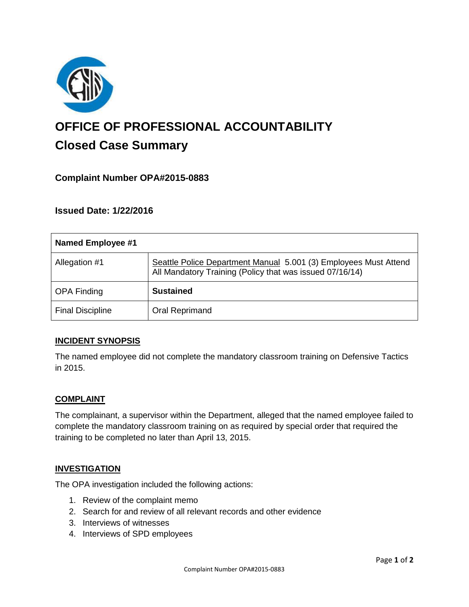

# **OFFICE OF PROFESSIONAL ACCOUNTABILITY Closed Case Summary**

# **Complaint Number OPA#2015-0883**

**Issued Date: 1/22/2016**

| Named Employee #1       |                                                                                                                              |
|-------------------------|------------------------------------------------------------------------------------------------------------------------------|
| Allegation #1           | Seattle Police Department Manual 5.001 (3) Employees Must Attend<br>All Mandatory Training (Policy that was issued 07/16/14) |
| <b>OPA Finding</b>      | <b>Sustained</b>                                                                                                             |
| <b>Final Discipline</b> | Oral Reprimand                                                                                                               |

# **INCIDENT SYNOPSIS**

The named employee did not complete the mandatory classroom training on Defensive Tactics in 2015.

# **COMPLAINT**

The complainant, a supervisor within the Department, alleged that the named employee failed to complete the mandatory classroom training on as required by special order that required the training to be completed no later than April 13, 2015.

#### **INVESTIGATION**

The OPA investigation included the following actions:

- 1. Review of the complaint memo
- 2. Search for and review of all relevant records and other evidence
- 3. Interviews of witnesses
- 4. Interviews of SPD employees